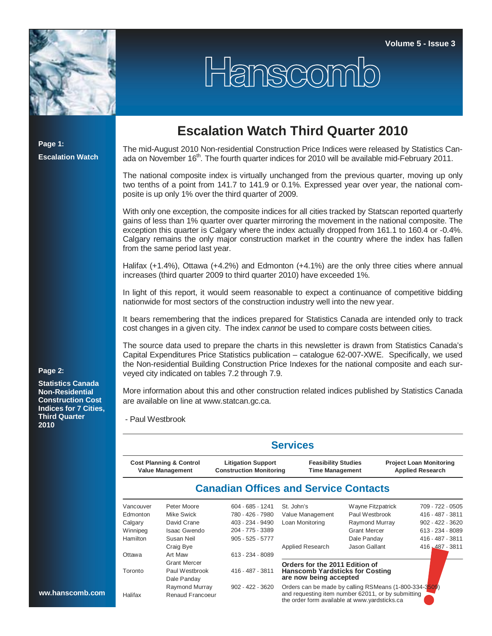

## Hanscomb

**Page 1: Escalation Watch**

## **Escalation Watch Third Quarter 2010**

The mid-August 2010 Non-residential Construction Price Indices were released by Statistics Canada on November 16<sup>th</sup>. The fourth quarter indices for 2010 will be available mid-February 2011.

The national composite index is virtually unchanged from the previous quarter, moving up only two tenths of a point from 141.7 to 141.9 or 0.1%. Expressed year over year, the national composite is up only 1% over the third quarter of 2009.

With only one exception, the composite indices for all cities tracked by Statscan reported quarterly gains of less than 1% quarter over quarter mirroring the movement in the national composite. The exception this quarter is Calgary where the index actually dropped from 161.1 to 160.4 or -0.4%. Calgary remains the only major construction market in the country where the index has fallen from the same period last year.

Halifax (+1.4%), Ottawa (+4.2%) and Edmonton (+4.1%) are the only three cities where annual increases (third quarter 2009 to third quarter 2010) have exceeded 1%.

In light of this report, it would seem reasonable to expect a continuance of competitive bidding nationwide for most sectors of the construction industry well into the new year.

It bears remembering that the indices prepared for Statistics Canada are intended only to track cost changes in a given city. The index *cannot* be used to compare costs between cities.

The source data used to prepare the charts in this newsletter is drawn from Statistics Canada's Capital Expenditures Price Statistics publication – catalogue 62-007-XWE. Specifically, we used the Non-residential Building Construction Price Indexes for the national composite and each surveyed city indicated on tables 7.2 through 7.9.

More information about this and other construction related indices published by Statistics Canada are available on line at www.statcan.gc.ca.

- Paul Westbrook

|                                                               |                     |                                                             | <b>Services</b>                                                                                     |                     |                                                           |                    |
|---------------------------------------------------------------|---------------------|-------------------------------------------------------------|-----------------------------------------------------------------------------------------------------|---------------------|-----------------------------------------------------------|--------------------|
| <b>Cost Planning &amp; Control</b><br><b>Value Management</b> |                     | <b>Litigation Support</b><br><b>Construction Monitoring</b> | <b>Feasibility Studies</b><br><b>Time Management</b>                                                |                     | <b>Project Loan Monitoring</b><br><b>Applied Research</b> |                    |
|                                                               |                     |                                                             | <b>Canadian Offices and Service Contacts</b>                                                        |                     |                                                           |                    |
| Vancouver                                                     | Peter Moore         | 604 - 685 - 1241                                            | St. John's                                                                                          | Wayne Fitzpatrick   |                                                           | 709 - 722 - 0505   |
| Edmonton                                                      | Mike Swick          | 780 - 426 - 7980                                            | Value Management                                                                                    | Paul Westbrook      |                                                           | 416 - 487 - 3811   |
| Calgary                                                       | David Crane         | 403 - 234 - 9490                                            | Loan Monitoring                                                                                     | Raymond Murray      |                                                           | $902 - 422 - 3620$ |
| Winnipeg                                                      | <b>Isaac Gwendo</b> | 204 - 775 - 3389                                            |                                                                                                     | <b>Grant Mercer</b> |                                                           | 613 - 234 - 8089   |
| Hamilton                                                      | Susan Neil          | $905 - 525 - 5777$                                          |                                                                                                     | Dale Panday         |                                                           | 416 - 487 - 3811   |
|                                                               | Craig Bye           |                                                             | Applied Research                                                                                    | Jason Gallant       |                                                           | 416, 487 - 3811    |
| Ottawa                                                        | Art Maw             | 613 - 234 - 8089                                            |                                                                                                     |                     |                                                           |                    |
|                                                               | <b>Grant Mercer</b> |                                                             | Orders for the 2011 Edition of                                                                      |                     |                                                           |                    |
| Toronto                                                       | Paul Westbrook      | 416 - 487 - 3811                                            | <b>Hanscomb Yardsticks for Costing</b>                                                              |                     |                                                           |                    |
|                                                               | Dale Panday         |                                                             | are now being accepted                                                                              |                     |                                                           |                    |
|                                                               | Raymond Murray      | $902 - 422 - 3620$                                          | Orders can be made by calling RSMeans (1-800-334-3509)                                              |                     |                                                           |                    |
| Halifax                                                       | Renaud Francoeur    |                                                             | and requesting item number 62011, or by submitting<br>the order form available at www vardsticks ca |                     |                                                           |                    |

## **Page 2:**

**Statistics Canada Non-Residential Construction Cost Indices for 7 Cities, Third Quarter 2010**